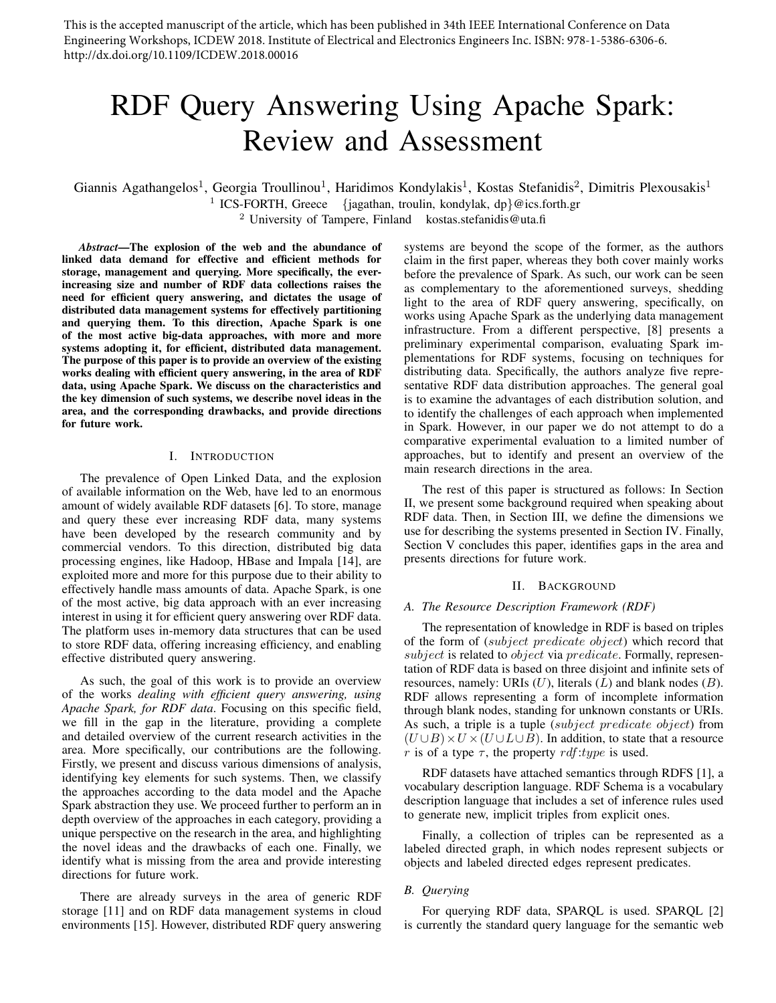This is the accepted manuscript of the article, which has been published in 34th IEEE International Conference on Data Engineering Workshops, ICDEW 2018. Institute of Electrical and Electronics Engineers Inc. ISBN: 978-1-5386-6306-6. http://dx.doi.org/10.1109/ICDEW.2018.00016

# RDF Query Answering Using Apache Spark: Review and Assessment

Giannis Agathangelos<sup>1</sup>, Georgia Troullinou<sup>1</sup>, Haridimos Kondylakis<sup>1</sup>, Kostas Stefanidis<sup>2</sup>, Dimitris Plexousakis<sup>1</sup> <sup>1</sup> ICS-FORTH, Greece {jagathan, troulin, kondylak, dp}@ics.forth.gr

<sup>2</sup> University of Tampere, Finland kostas.stefanidis@uta.fi

*Abstract*—The explosion of the web and the abundance of linked data demand for effective and efficient methods for storage, management and querying. More specifically, the everincreasing size and number of RDF data collections raises the need for efficient query answering, and dictates the usage of distributed data management systems for effectively partitioning and querying them. To this direction, Apache Spark is one of the most active big-data approaches, with more and more systems adopting it, for efficient, distributed data management. The purpose of this paper is to provide an overview of the existing works dealing with efficient query answering, in the area of RDF data, using Apache Spark. We discuss on the characteristics and the key dimension of such systems, we describe novel ideas in the area, and the corresponding drawbacks, and provide directions for future work.

### I. INTRODUCTION

The prevalence of Open Linked Data, and the explosion of available information on the Web, have led to an enormous amount of widely available RDF datasets [6]. To store, manage and query these ever increasing RDF data, many systems have been developed by the research community and by commercial vendors. To this direction, distributed big data processing engines, like Hadoop, HBase and Impala [14], are exploited more and more for this purpose due to their ability to effectively handle mass amounts of data. Apache Spark, is one of the most active, big data approach with an ever increasing interest in using it for efficient query answering over RDF data. The platform uses in-memory data structures that can be used to store RDF data, offering increasing efficiency, and enabling effective distributed query answering.

As such, the goal of this work is to provide an overview of the works *dealing with efficient query answering, using Apache Spark, for RDF data*. Focusing on this specific field, we fill in the gap in the literature, providing a complete and detailed overview of the current research activities in the area. More specifically, our contributions are the following. Firstly, we present and discuss various dimensions of analysis, identifying key elements for such systems. Then, we classify the approaches according to the data model and the Apache Spark abstraction they use. We proceed further to perform an in depth overview of the approaches in each category, providing a unique perspective on the research in the area, and highlighting the novel ideas and the drawbacks of each one. Finally, we identify what is missing from the area and provide interesting directions for future work.

There are already surveys in the area of generic RDF storage [11] and on RDF data management systems in cloud environments [15]. However, distributed RDF query answering systems are beyond the scope of the former, as the authors claim in the first paper, whereas they both cover mainly works before the prevalence of Spark. As such, our work can be seen as complementary to the aforementioned surveys, shedding light to the area of RDF query answering, specifically, on works using Apache Spark as the underlying data management infrastructure. From a different perspective, [8] presents a preliminary experimental comparison, evaluating Spark implementations for RDF systems, focusing on techniques for distributing data. Specifically, the authors analyze five representative RDF data distribution approaches. The general goal is to examine the advantages of each distribution solution, and to identify the challenges of each approach when implemented in Spark. However, in our paper we do not attempt to do a comparative experimental evaluation to a limited number of approaches, but to identify and present an overview of the main research directions in the area.

The rest of this paper is structured as follows: In Section II, we present some background required when speaking about RDF data. Then, in Section III, we define the dimensions we use for describing the systems presented in Section IV. Finally, Section V concludes this paper, identifies gaps in the area and presents directions for future work.

### II. BACKGROUND

#### *A. The Resource Description Framework (RDF)*

The representation of knowledge in RDF is based on triples of the form of (subject predicate object) which record that subject is related to *object* via *predicate*. Formally, representation of RDF data is based on three disjoint and infinite sets of resources, namely: URIs  $(U)$ , literals  $(L)$  and blank nodes  $(B)$ . RDF allows representing a form of incomplete information through blank nodes, standing for unknown constants or URIs. As such, a triple is a tuple *(subject predicate object)* from  $(U \cup B) \times U \times (U \cup L \cup B)$ . In addition, to state that a resource r is of a type  $\tau$ , the property rdf:type is used.

RDF datasets have attached semantics through RDFS [1], a vocabulary description language. RDF Schema is a vocabulary description language that includes a set of inference rules used to generate new, implicit triples from explicit ones.

Finally, a collection of triples can be represented as a labeled directed graph, in which nodes represent subjects or objects and labeled directed edges represent predicates.

## *B. Querying*

For querying RDF data, SPARQL is used. SPARQL [2] is currently the standard query language for the semantic web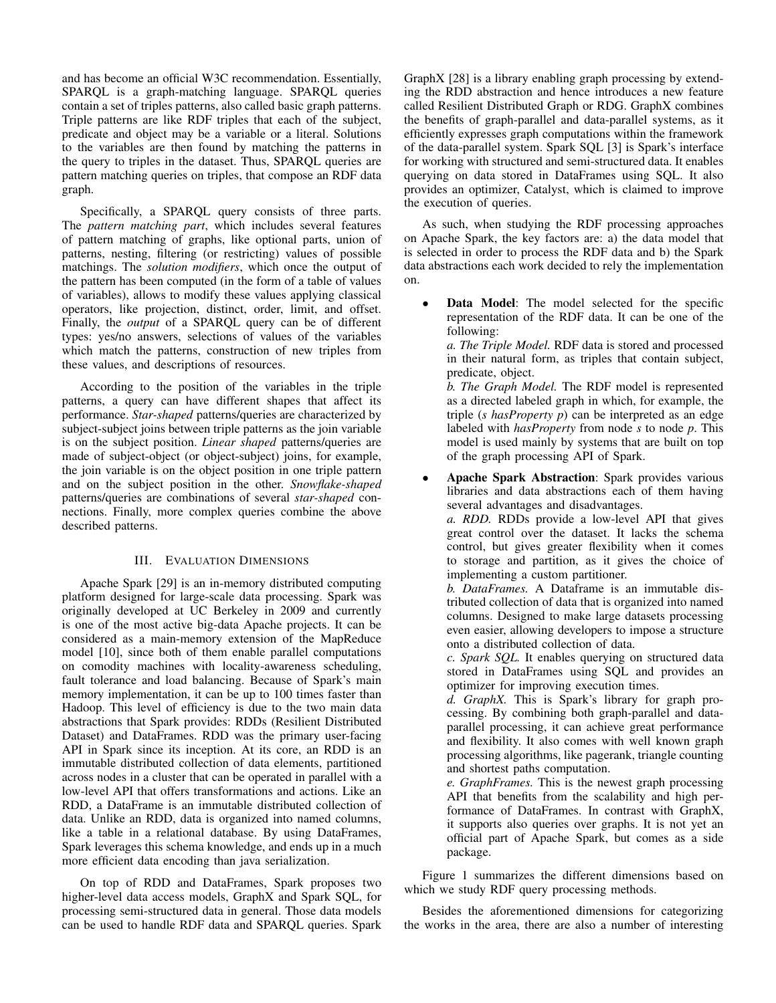and has become an official W3C recommendation. Essentially, SPARQL is a graph-matching language. SPARQL queries contain a set of triples patterns, also called basic graph patterns. Triple patterns are like RDF triples that each of the subject, predicate and object may be a variable or a literal. Solutions to the variables are then found by matching the patterns in the query to triples in the dataset. Thus, SPARQL queries are pattern matching queries on triples, that compose an RDF data graph.

Specifically, a SPARQL query consists of three parts. The *pattern matching part*, which includes several features of pattern matching of graphs, like optional parts, union of patterns, nesting, filtering (or restricting) values of possible matchings. The *solution modifiers*, which once the output of the pattern has been computed (in the form of a table of values of variables), allows to modify these values applying classical operators, like projection, distinct, order, limit, and offset. Finally, the *output* of a SPARQL query can be of different types: yes/no answers, selections of values of the variables which match the patterns, construction of new triples from these values, and descriptions of resources.

According to the position of the variables in the triple patterns, a query can have different shapes that affect its performance. *Star-shaped* patterns/queries are characterized by subject-subject joins between triple patterns as the join variable is on the subject position. *Linear shaped* patterns/queries are made of subject-object (or object-subject) joins, for example, the join variable is on the object position in one triple pattern and on the subject position in the other. *Snowflake-shaped* patterns/queries are combinations of several *star-shaped* connections. Finally, more complex queries combine the above described patterns.

# III. EVALUATION DIMENSIONS

Apache Spark [29] is an in-memory distributed computing platform designed for large-scale data processing. Spark was originally developed at UC Berkeley in 2009 and currently is one of the most active big-data Apache projects. It can be considered as a main-memory extension of the MapReduce model [10], since both of them enable parallel computations on comodity machines with locality-awareness scheduling, fault tolerance and load balancing. Because of Spark's main memory implementation, it can be up to 100 times faster than Hadoop. This level of efficiency is due to the two main data abstractions that Spark provides: RDDs (Resilient Distributed Dataset) and DataFrames. RDD was the primary user-facing API in Spark since its inception. At its core, an RDD is an immutable distributed collection of data elements, partitioned across nodes in a cluster that can be operated in parallel with a low-level API that offers transformations and actions. Like an RDD, a DataFrame is an immutable distributed collection of data. Unlike an RDD, data is organized into named columns, like a table in a relational database. By using DataFrames, Spark leverages this schema knowledge, and ends up in a much more efficient data encoding than java serialization.

On top of RDD and DataFrames, Spark proposes two higher-level data access models, GraphX and Spark SQL, for processing semi-structured data in general. Those data models can be used to handle RDF data and SPARQL queries. Spark GraphX [28] is a library enabling graph processing by extending the RDD abstraction and hence introduces a new feature called Resilient Distributed Graph or RDG. GraphX combines the benefits of graph-parallel and data-parallel systems, as it efficiently expresses graph computations within the framework of the data-parallel system. Spark SQL [3] is Spark's interface for working with structured and semi-structured data. It enables querying on data stored in DataFrames using SQL. It also provides an optimizer, Catalyst, which is claimed to improve the execution of queries.

As such, when studying the RDF processing approaches on Apache Spark, the key factors are: a) the data model that is selected in order to process the RDF data and b) the Spark data abstractions each work decided to rely the implementation on.

Data Model: The model selected for the specific representation of the RDF data. It can be one of the following:

*a. The Triple Model.* RDF data is stored and processed in their natural form, as triples that contain subject, predicate, object.

*b. The Graph Model.* The RDF model is represented as a directed labeled graph in which, for example, the triple (*s hasProperty p*) can be interpreted as an edge labeled with *hasProperty* from node *s* to node *p*. This model is used mainly by systems that are built on top of the graph processing API of Spark.

• Apache Spark Abstraction: Spark provides various libraries and data abstractions each of them having several advantages and disadvantages.

*a. RDD.* RDDs provide a low-level API that gives great control over the dataset. It lacks the schema control, but gives greater flexibility when it comes to storage and partition, as it gives the choice of implementing a custom partitioner.

*b. DataFrames.* A Dataframe is an immutable distributed collection of data that is organized into named columns. Designed to make large datasets processing even easier, allowing developers to impose a structure onto a distributed collection of data.

*c. Spark SQL.* It enables querying on structured data stored in DataFrames using SQL and provides an optimizer for improving execution times.

*d. GraphX.* This is Spark's library for graph processing. By combining both graph-parallel and dataparallel processing, it can achieve great performance and flexibility. It also comes with well known graph processing algorithms, like pagerank, triangle counting and shortest paths computation.

*e. GraphFrames.* This is the newest graph processing API that benefits from the scalability and high performance of DataFrames. In contrast with GraphX, it supports also queries over graphs. It is not yet an official part of Apache Spark, but comes as a side package.

Figure 1 summarizes the different dimensions based on which we study RDF query processing methods.

Besides the aforementioned dimensions for categorizing the works in the area, there are also a number of interesting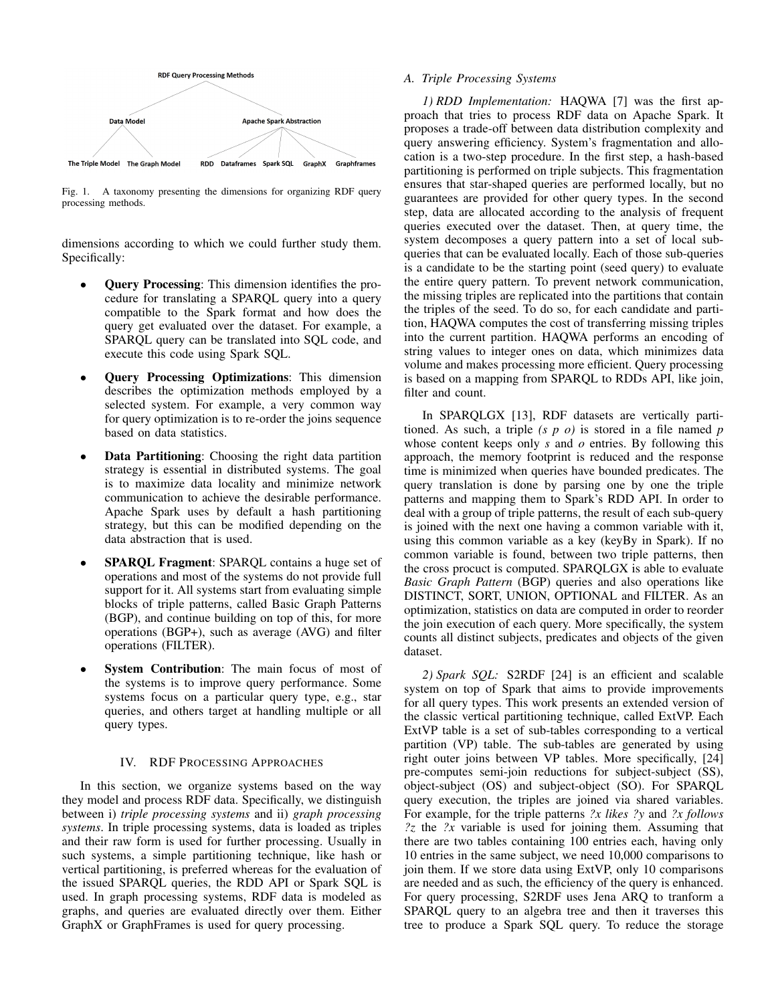

Fig. 1. A taxonomy presenting the dimensions for organizing RDF query processing methods.

dimensions according to which we could further study them. Specifically:

- Query Processing: This dimension identifies the procedure for translating a SPARQL query into a query compatible to the Spark format and how does the query get evaluated over the dataset. For example, a SPARQL query can be translated into SQL code, and execute this code using Spark SQL.
- Query Processing Optimizations: This dimension describes the optimization methods employed by a selected system. For example, a very common way for query optimization is to re-order the joins sequence based on data statistics.
- Data Partitioning: Choosing the right data partition strategy is essential in distributed systems. The goal is to maximize data locality and minimize network communication to achieve the desirable performance. Apache Spark uses by default a hash partitioning strategy, but this can be modified depending on the data abstraction that is used.
- SPARQL Fragment: SPARQL contains a huge set of operations and most of the systems do not provide full support for it. All systems start from evaluating simple blocks of triple patterns, called Basic Graph Patterns (BGP), and continue building on top of this, for more operations (BGP+), such as average (AVG) and filter operations (FILTER).
- System Contribution: The main focus of most of the systems is to improve query performance. Some systems focus on a particular query type, e.g., star queries, and others target at handling multiple or all query types.

## IV. RDF PROCESSING APPROACHES

In this section, we organize systems based on the way they model and process RDF data. Specifically, we distinguish between i) *triple processing systems* and ii) *graph processing systems*. In triple processing systems, data is loaded as triples and their raw form is used for further processing. Usually in such systems, a simple partitioning technique, like hash or vertical partitioning, is preferred whereas for the evaluation of the issued SPARQL queries, the RDD API or Spark SQL is used. In graph processing systems, RDF data is modeled as graphs, and queries are evaluated directly over them. Either GraphX or GraphFrames is used for query processing.

# *A. Triple Processing Systems*

*1) RDD Implementation:* HAQWA [7] was the first approach that tries to process RDF data on Apache Spark. It proposes a trade-off between data distribution complexity and query answering efficiency. System's fragmentation and allocation is a two-step procedure. In the first step, a hash-based partitioning is performed on triple subjects. This fragmentation ensures that star-shaped queries are performed locally, but no guarantees are provided for other query types. In the second step, data are allocated according to the analysis of frequent queries executed over the dataset. Then, at query time, the system decomposes a query pattern into a set of local subqueries that can be evaluated locally. Each of those sub-queries is a candidate to be the starting point (seed query) to evaluate the entire query pattern. To prevent network communication, the missing triples are replicated into the partitions that contain the triples of the seed. To do so, for each candidate and partition, HAQWA computes the cost of transferring missing triples into the current partition. HAQWA performs an encoding of string values to integer ones on data, which minimizes data volume and makes processing more efficient. Query processing is based on a mapping from SPARQL to RDDs API, like join, filter and count.

In SPARQLGX [13], RDF datasets are vertically partitioned. As such, a triple *(s p o)* is stored in a file named *p* whose content keeps only *s* and *o* entries. By following this approach, the memory footprint is reduced and the response time is minimized when queries have bounded predicates. The query translation is done by parsing one by one the triple patterns and mapping them to Spark's RDD API. In order to deal with a group of triple patterns, the result of each sub-query is joined with the next one having a common variable with it, using this common variable as a key (keyBy in Spark). If no common variable is found, between two triple patterns, then the cross procuct is computed. SPARQLGX is able to evaluate *Basic Graph Pattern* (BGP) queries and also operations like DISTINCT, SORT, UNION, OPTIONAL and FILTER. As an optimization, statistics on data are computed in order to reorder the join execution of each query. More specifically, the system counts all distinct subjects, predicates and objects of the given dataset.

*2) Spark SQL:* S2RDF [24] is an efficient and scalable system on top of Spark that aims to provide improvements for all query types. This work presents an extended version of the classic vertical partitioning technique, called ExtVP. Each ExtVP table is a set of sub-tables corresponding to a vertical partition (VP) table. The sub-tables are generated by using right outer joins between VP tables. More specifically, [24] pre-computes semi-join reductions for subject-subject (SS), object-subject (OS) and subject-object (SO). For SPARQL query execution, the triples are joined via shared variables. For example, for the triple patterns *?x likes ?y* and *?x follows ?z* the *?x* variable is used for joining them. Assuming that there are two tables containing 100 entries each, having only 10 entries in the same subject, we need 10,000 comparisons to join them. If we store data using ExtVP, only 10 comparisons are needed and as such, the efficiency of the query is enhanced. For query processing, S2RDF uses Jena ARQ to tranform a SPARQL query to an algebra tree and then it traverses this tree to produce a Spark SQL query. To reduce the storage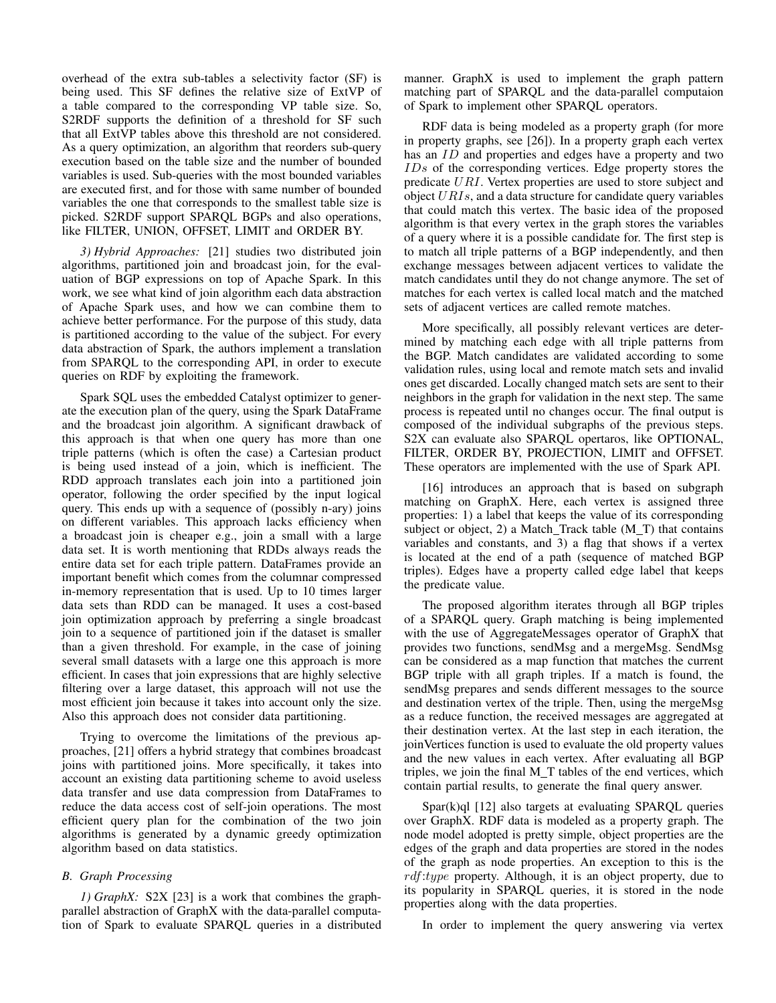overhead of the extra sub-tables a selectivity factor (SF) is being used. This SF defines the relative size of ExtVP of a table compared to the corresponding VP table size. So, S2RDF supports the definition of a threshold for SF such that all ExtVP tables above this threshold are not considered. As a query optimization, an algorithm that reorders sub-query execution based on the table size and the number of bounded variables is used. Sub-queries with the most bounded variables are executed first, and for those with same number of bounded variables the one that corresponds to the smallest table size is picked. S2RDF support SPARQL BGPs and also operations, like FILTER, UNION, OFFSET, LIMIT and ORDER BY.

*3) Hybrid Approaches:* [21] studies two distributed join algorithms, partitioned join and broadcast join, for the evaluation of BGP expressions on top of Apache Spark. In this work, we see what kind of join algorithm each data abstraction of Apache Spark uses, and how we can combine them to achieve better performance. For the purpose of this study, data is partitioned according to the value of the subject. For every data abstraction of Spark, the authors implement a translation from SPARQL to the corresponding API, in order to execute queries on RDF by exploiting the framework.

Spark SQL uses the embedded Catalyst optimizer to generate the execution plan of the query, using the Spark DataFrame and the broadcast join algorithm. A significant drawback of this approach is that when one query has more than one triple patterns (which is often the case) a Cartesian product is being used instead of a join, which is inefficient. The RDD approach translates each join into a partitioned join operator, following the order specified by the input logical query. This ends up with a sequence of (possibly n-ary) joins on different variables. This approach lacks efficiency when a broadcast join is cheaper e.g., join a small with a large data set. It is worth mentioning that RDDs always reads the entire data set for each triple pattern. DataFrames provide an important benefit which comes from the columnar compressed in-memory representation that is used. Up to 10 times larger data sets than RDD can be managed. It uses a cost-based join optimization approach by preferring a single broadcast join to a sequence of partitioned join if the dataset is smaller than a given threshold. For example, in the case of joining several small datasets with a large one this approach is more efficient. In cases that join expressions that are highly selective filtering over a large dataset, this approach will not use the most efficient join because it takes into account only the size. Also this approach does not consider data partitioning.

Trying to overcome the limitations of the previous approaches, [21] offers a hybrid strategy that combines broadcast joins with partitioned joins. More specifically, it takes into account an existing data partitioning scheme to avoid useless data transfer and use data compression from DataFrames to reduce the data access cost of self-join operations. The most efficient query plan for the combination of the two join algorithms is generated by a dynamic greedy optimization algorithm based on data statistics.

## *B. Graph Processing*

*1) GraphX:* S2X [23] is a work that combines the graphparallel abstraction of GraphX with the data-parallel computation of Spark to evaluate SPARQL queries in a distributed manner. GraphX is used to implement the graph pattern matching part of SPARQL and the data-parallel computaion of Spark to implement other SPARQL operators.

RDF data is being modeled as a property graph (for more in property graphs, see [26]). In a property graph each vertex has an ID and properties and edges have a property and two IDs of the corresponding vertices. Edge property stores the predicate URI. Vertex properties are used to store subject and object  $URIs$ , and a data structure for candidate query variables that could match this vertex. The basic idea of the proposed algorithm is that every vertex in the graph stores the variables of a query where it is a possible candidate for. The first step is to match all triple patterns of a BGP independently, and then exchange messages between adjacent vertices to validate the match candidates until they do not change anymore. The set of matches for each vertex is called local match and the matched sets of adjacent vertices are called remote matches.

More specifically, all possibly relevant vertices are determined by matching each edge with all triple patterns from the BGP. Match candidates are validated according to some validation rules, using local and remote match sets and invalid ones get discarded. Locally changed match sets are sent to their neighbors in the graph for validation in the next step. The same process is repeated until no changes occur. The final output is composed of the individual subgraphs of the previous steps. S2X can evaluate also SPARQL opertaros, like OPTIONAL, FILTER, ORDER BY, PROJECTION, LIMIT and OFFSET. These operators are implemented with the use of Spark API.

[16] introduces an approach that is based on subgraph matching on GraphX. Here, each vertex is assigned three properties: 1) a label that keeps the value of its corresponding subject or object, 2) a Match\_Track table  $(M_T)$  that contains variables and constants, and 3) a flag that shows if a vertex is located at the end of a path (sequence of matched BGP triples). Edges have a property called edge label that keeps the predicate value.

The proposed algorithm iterates through all BGP triples of a SPARQL query. Graph matching is being implemented with the use of AggregateMessages operator of GraphX that provides two functions, sendMsg and a mergeMsg. SendMsg can be considered as a map function that matches the current BGP triple with all graph triples. If a match is found, the sendMsg prepares and sends different messages to the source and destination vertex of the triple. Then, using the mergeMsg as a reduce function, the received messages are aggregated at their destination vertex. At the last step in each iteration, the joinVertices function is used to evaluate the old property values and the new values in each vertex. After evaluating all BGP triples, we join the final M T tables of the end vertices, which contain partial results, to generate the final query answer.

Spar(k)ql [12] also targets at evaluating SPARQL queries over GraphX. RDF data is modeled as a property graph. The node model adopted is pretty simple, object properties are the edges of the graph and data properties are stored in the nodes of the graph as node properties. An exception to this is the rdf:type property. Although, it is an object property, due to its popularity in SPARQL queries, it is stored in the node properties along with the data properties.

In order to implement the query answering via vertex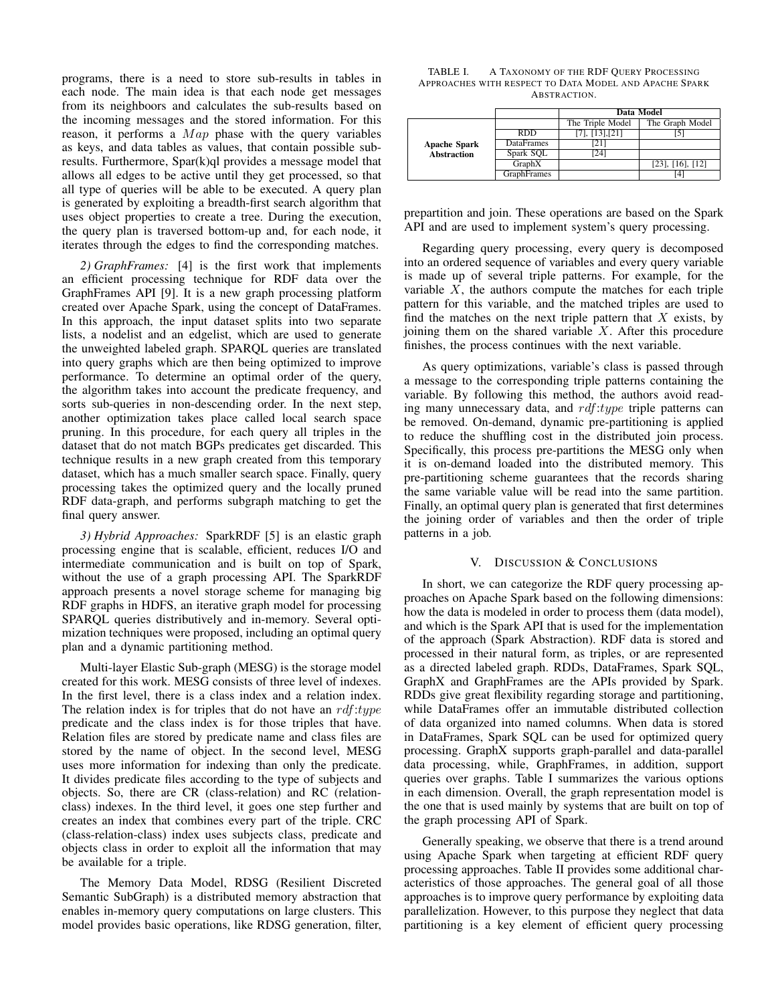programs, there is a need to store sub-results in tables in each node. The main idea is that each node get messages from its neighboors and calculates the sub-results based on the incoming messages and the stored information. For this reason, it performs a  $Map$  phase with the query variables as keys, and data tables as values, that contain possible subresults. Furthermore, Spar(k)ql provides a message model that allows all edges to be active until they get processed, so that all type of queries will be able to be executed. A query plan is generated by exploiting a breadth-first search algorithm that uses object properties to create a tree. During the execution, the query plan is traversed bottom-up and, for each node, it iterates through the edges to find the corresponding matches.

*2) GraphFrames:* [4] is the first work that implements an efficient processing technique for RDF data over the GraphFrames API [9]. It is a new graph processing platform created over Apache Spark, using the concept of DataFrames. In this approach, the input dataset splits into two separate lists, a nodelist and an edgelist, which are used to generate the unweighted labeled graph. SPARQL queries are translated into query graphs which are then being optimized to improve performance. To determine an optimal order of the query, the algorithm takes into account the predicate frequency, and sorts sub-queries in non-descending order. In the next step, another optimization takes place called local search space pruning. In this procedure, for each query all triples in the dataset that do not match BGPs predicates get discarded. This technique results in a new graph created from this temporary dataset, which has a much smaller search space. Finally, query processing takes the optimized query and the locally pruned RDF data-graph, and performs subgraph matching to get the final query answer.

*3) Hybrid Approaches:* SparkRDF [5] is an elastic graph processing engine that is scalable, efficient, reduces I/O and intermediate communication and is built on top of Spark, without the use of a graph processing API. The SparkRDF approach presents a novel storage scheme for managing big RDF graphs in HDFS, an iterative graph model for processing SPARQL queries distributively and in-memory. Several optimization techniques were proposed, including an optimal query plan and a dynamic partitioning method.

Multi-layer Elastic Sub-graph (MESG) is the storage model created for this work. MESG consists of three level of indexes. In the first level, there is a class index and a relation index. The relation index is for triples that do not have an  $\textit{rdf:type}$ predicate and the class index is for those triples that have. Relation files are stored by predicate name and class files are stored by the name of object. In the second level, MESG uses more information for indexing than only the predicate. It divides predicate files according to the type of subjects and objects. So, there are CR (class-relation) and RC (relationclass) indexes. In the third level, it goes one step further and creates an index that combines every part of the triple. CRC (class-relation-class) index uses subjects class, predicate and objects class in order to exploit all the information that may be available for a triple.

The Memory Data Model, RDSG (Resilient Discreted Semantic SubGraph) is a distributed memory abstraction that enables in-memory query computations on large clusters. This model provides basic operations, like RDSG generation, filter,

|              | APPROACHES WITH RESPECT TO DATA MODEL AND APACHE SPARK |  |  |  |  |  |  |  |
|--------------|--------------------------------------------------------|--|--|--|--|--|--|--|
| ABSTRACTION. |                                                        |  |  |  |  |  |  |  |
|              |                                                        |  |  |  |  |  |  |  |
|              | Data Model                                             |  |  |  |  |  |  |  |
|              |                                                        |  |  |  |  |  |  |  |

TABLE I. A TAXONOMY OF THE RDF QUERY PROCESSING

|                   |                         | Data Model               |
|-------------------|-------------------------|--------------------------|
|                   | The Triple Model        | The Graph Model          |
| <b>RDD</b>        | $[7]$ , $[13]$ , $[21]$ |                          |
| <b>DataFrames</b> | [21]                    |                          |
| Spark SQL         | [24]                    |                          |
| GraphX            |                         | $[23]$ , $[16]$ , $[12]$ |
| GraphFrames       |                         | 4                        |
|                   |                         |                          |

prepartition and join. These operations are based on the Spark API and are used to implement system's query processing.

Regarding query processing, every query is decomposed into an ordered sequence of variables and every query variable is made up of several triple patterns. For example, for the variable  $X$ , the authors compute the matches for each triple pattern for this variable, and the matched triples are used to find the matches on the next triple pattern that  $X$  exists, by joining them on the shared variable  $X$ . After this procedure finishes, the process continues with the next variable.

As query optimizations, variable's class is passed through a message to the corresponding triple patterns containing the variable. By following this method, the authors avoid reading many unnecessary data, and rdf:type triple patterns can be removed. On-demand, dynamic pre-partitioning is applied to reduce the shuffling cost in the distributed join process. Specifically, this process pre-partitions the MESG only when it is on-demand loaded into the distributed memory. This pre-partitioning scheme guarantees that the records sharing the same variable value will be read into the same partition. Finally, an optimal query plan is generated that first determines the joining order of variables and then the order of triple patterns in a job.

## V. DISCUSSION & CONCLUSIONS

In short, we can categorize the RDF query processing approaches on Apache Spark based on the following dimensions: how the data is modeled in order to process them (data model), and which is the Spark API that is used for the implementation of the approach (Spark Abstraction). RDF data is stored and processed in their natural form, as triples, or are represented as a directed labeled graph. RDDs, DataFrames, Spark SQL, GraphX and GraphFrames are the APIs provided by Spark. RDDs give great flexibility regarding storage and partitioning, while DataFrames offer an immutable distributed collection of data organized into named columns. When data is stored in DataFrames, Spark SQL can be used for optimized query processing. GraphX supports graph-parallel and data-parallel data processing, while, GraphFrames, in addition, support queries over graphs. Table I summarizes the various options in each dimension. Overall, the graph representation model is the one that is used mainly by systems that are built on top of the graph processing API of Spark.

Generally speaking, we observe that there is a trend around using Apache Spark when targeting at efficient RDF query processing approaches. Table II provides some additional characteristics of those approaches. The general goal of all those approaches is to improve query performance by exploiting data parallelization. However, to this purpose they neglect that data partitioning is a key element of efficient query processing